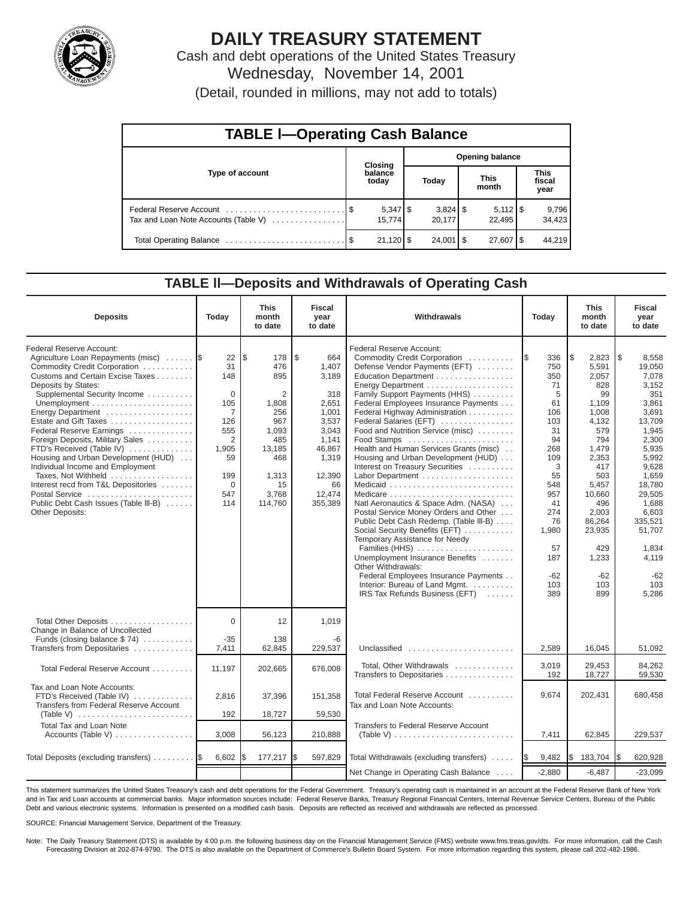

# **DAILY TREASURY STATEMENT**

Cash and debt operations of the United States Treasury Wednesday, November 14, 2001 (Detail, rounded in millions, may not add to totals)

| <b>TABLE I-Operating Cash Balance</b> |  |                  |                        |                              |  |                              |  |                               |  |
|---------------------------------------|--|------------------|------------------------|------------------------------|--|------------------------------|--|-------------------------------|--|
|                                       |  | Closing          | <b>Opening balance</b> |                              |  |                              |  |                               |  |
| <b>Type of account</b>                |  | balance<br>today |                        | Today                        |  | <b>This</b><br>month         |  | <b>This</b><br>fiscal<br>year |  |
| Tax and Loan Note Accounts (Table V)  |  | 15.774           |                        | $3,824$ $\sqrt{5}$<br>20.177 |  | $5,112$ $\sqrt{5}$<br>22.495 |  | 9,796<br>34,423               |  |
|                                       |  | $21,120$ \$      |                        | $24,001$ $\sqrt{5}$          |  | $27,607$ $\frac{8}{3}$       |  | 44.219                        |  |

#### **TABLE ll—Deposits and Withdrawals of Operating Cash**

| <b>Deposits</b>                                                                                                                                                                                                                                                                                                                                                                                                                                                                                                                                             | Today                                                                                                            | <b>This</b><br>month<br>to date                                                                                                       | <b>Fiscal</b><br>year<br>to date                                                                                                        | Withdrawals                                                                                                                                                                                                                                                                                                                                                                                                                                                                                                                                                                                                                                                                                                                                                                                                                | Today                                                                                                                                                                      | <b>This</b><br>month<br>to date                                                                                                                                                                                    | <b>Fiscal</b><br>year<br>to date                                                                                                                                                                                                             |
|-------------------------------------------------------------------------------------------------------------------------------------------------------------------------------------------------------------------------------------------------------------------------------------------------------------------------------------------------------------------------------------------------------------------------------------------------------------------------------------------------------------------------------------------------------------|------------------------------------------------------------------------------------------------------------------|---------------------------------------------------------------------------------------------------------------------------------------|-----------------------------------------------------------------------------------------------------------------------------------------|----------------------------------------------------------------------------------------------------------------------------------------------------------------------------------------------------------------------------------------------------------------------------------------------------------------------------------------------------------------------------------------------------------------------------------------------------------------------------------------------------------------------------------------------------------------------------------------------------------------------------------------------------------------------------------------------------------------------------------------------------------------------------------------------------------------------------|----------------------------------------------------------------------------------------------------------------------------------------------------------------------------|--------------------------------------------------------------------------------------------------------------------------------------------------------------------------------------------------------------------|----------------------------------------------------------------------------------------------------------------------------------------------------------------------------------------------------------------------------------------------|
| Federal Reserve Account:<br>Agriculture Loan Repayments (misc)<br>Commodity Credit Corporation<br>Customs and Certain Excise Taxes<br>Deposits by States:<br>Supplemental Security Income<br>Energy Department<br>Estate and Gift Taxes<br>Federal Reserve Earnings<br>Foreign Deposits, Military Sales<br>FTD's Received (Table IV)<br>Housing and Urban Development (HUD)<br>Individual Income and Employment<br>Taxes, Not Withheld<br>Interest recd from T&L Depositories<br>Postal Service<br>Public Debt Cash Issues (Table III-B)<br>Other Deposits: | 22<br>31<br>148<br>$\Omega$<br>105<br>7<br>126<br>555<br>$\overline{2}$<br>1,905<br>59<br>199<br>0<br>547<br>114 | l\$<br>178<br>476<br>895<br>$\overline{2}$<br>1,808<br>256<br>967<br>1,093<br>485<br>13,185<br>468<br>1,313<br>15<br>3,768<br>114,760 | \$<br>664<br>1,407<br>3,189<br>318<br>2,651<br>1.001<br>3,537<br>3,043<br>1,141<br>46,867<br>1,319<br>12,390<br>66<br>12.474<br>355,389 | Federal Reserve Account:<br>Commodity Credit Corporation<br>Defense Vendor Payments (EFT)<br>Education Department<br>Family Support Payments (HHS)<br>Federal Employees Insurance Payments<br>Federal Highway Administration<br>Federal Salaries (EFT)<br>Food and Nutrition Service (misc)<br>Health and Human Services Grants (misc)<br>Housing and Urban Development (HUD)<br>Interest on Treasury Securities<br>Labor Department<br>Natl Aeronautics & Space Adm. (NASA)<br>Postal Service Money Orders and Other<br>Public Debt Cash Redemp. (Table III-B)<br>Social Security Benefits (EFT)<br>Temporary Assistance for Needy<br>Families (HHS)<br>Unemployment Insurance Benefits<br>Other Withdrawals:<br>Federal Employees Insurance Payments<br>Interior: Bureau of Land Mgmt.<br>IRS Tax Refunds Business (EFT) | 336<br>1\$<br>750<br>350<br>71<br>5<br>61<br>106<br>103<br>31<br>94<br>268<br>109<br>3<br>55<br>548<br>957<br>41<br>274<br>76<br>1,980<br>57<br>187<br>$-62$<br>103<br>389 | l\$<br>2,823<br>5,591<br>2,057<br>828<br>99<br>1.109<br>1.008<br>4,132<br>579<br>794<br>1,479<br>2,353<br>417<br>503<br>5,457<br>10,660<br>496<br>2,003<br>86,264<br>23,935<br>429<br>1,233<br>$-62$<br>103<br>899 | <b>S</b><br>8,558<br>19,050<br>7,078<br>3,152<br>351<br>3.861<br>3.691<br>13,709<br>1,945<br>2,300<br>5,935<br>5,992<br>9,628<br>1,659<br>18,780<br>29,505<br>1,688<br>6,603<br>335,521<br>51.707<br>1.834<br>4.119<br>$-62$<br>103<br>5,286 |
| Total Other Deposits<br>Change in Balance of Uncollected<br>Funds (closing balance $$74)$                                                                                                                                                                                                                                                                                                                                                                                                                                                                   | $\Omega$<br>$-35$                                                                                                | 12<br>138                                                                                                                             | 1,019<br>$-6$                                                                                                                           |                                                                                                                                                                                                                                                                                                                                                                                                                                                                                                                                                                                                                                                                                                                                                                                                                            |                                                                                                                                                                            |                                                                                                                                                                                                                    |                                                                                                                                                                                                                                              |
| Transfers from Depositaries                                                                                                                                                                                                                                                                                                                                                                                                                                                                                                                                 | 7,411                                                                                                            | 62,845                                                                                                                                | 229,537                                                                                                                                 | Unclassified                                                                                                                                                                                                                                                                                                                                                                                                                                                                                                                                                                                                                                                                                                                                                                                                               | 2,589                                                                                                                                                                      | 16,045                                                                                                                                                                                                             | 51,092                                                                                                                                                                                                                                       |
| Total Federal Reserve Account                                                                                                                                                                                                                                                                                                                                                                                                                                                                                                                               | 11.197                                                                                                           | 202,665                                                                                                                               | 676,008                                                                                                                                 | Total, Other Withdrawals<br>Transfers to Depositaries                                                                                                                                                                                                                                                                                                                                                                                                                                                                                                                                                                                                                                                                                                                                                                      | 3,019<br>192                                                                                                                                                               | 29,453<br>18,727                                                                                                                                                                                                   | 84,262<br>59,530                                                                                                                                                                                                                             |
| Tax and Loan Note Accounts:<br>FTD's Received (Table IV)<br>Transfers from Federal Reserve Account                                                                                                                                                                                                                                                                                                                                                                                                                                                          | 2,816<br>192                                                                                                     | 37,396<br>18,727                                                                                                                      | 151,358                                                                                                                                 | Total Federal Reserve Account<br>Tax and Loan Note Accounts:                                                                                                                                                                                                                                                                                                                                                                                                                                                                                                                                                                                                                                                                                                                                                               | 9.674                                                                                                                                                                      | 202,431                                                                                                                                                                                                            | 680.458                                                                                                                                                                                                                                      |
| Total Tax and Loan Note                                                                                                                                                                                                                                                                                                                                                                                                                                                                                                                                     |                                                                                                                  |                                                                                                                                       | 59,530                                                                                                                                  | Transfers to Federal Reserve Account                                                                                                                                                                                                                                                                                                                                                                                                                                                                                                                                                                                                                                                                                                                                                                                       |                                                                                                                                                                            |                                                                                                                                                                                                                    |                                                                                                                                                                                                                                              |
| Accounts (Table V)                                                                                                                                                                                                                                                                                                                                                                                                                                                                                                                                          | 3,008                                                                                                            | 56,123                                                                                                                                | 210,888                                                                                                                                 | (Table V) $\ldots \ldots \ldots \ldots \ldots \ldots \ldots \ldots$                                                                                                                                                                                                                                                                                                                                                                                                                                                                                                                                                                                                                                                                                                                                                        | 7,411                                                                                                                                                                      | 62,845                                                                                                                                                                                                             | 229,537                                                                                                                                                                                                                                      |
| Total Deposits (excluding transfers)                                                                                                                                                                                                                                                                                                                                                                                                                                                                                                                        | 6,602                                                                                                            | 177,217<br>IS.                                                                                                                        | l\$<br>597,829                                                                                                                          | Total Withdrawals (excluding transfers)                                                                                                                                                                                                                                                                                                                                                                                                                                                                                                                                                                                                                                                                                                                                                                                    | 9,482<br>1\$                                                                                                                                                               | l\$<br>183,704                                                                                                                                                                                                     | 620,928<br>I\$                                                                                                                                                                                                                               |
|                                                                                                                                                                                                                                                                                                                                                                                                                                                                                                                                                             |                                                                                                                  |                                                                                                                                       |                                                                                                                                         | Net Change in Operating Cash Balance                                                                                                                                                                                                                                                                                                                                                                                                                                                                                                                                                                                                                                                                                                                                                                                       | $-2,880$                                                                                                                                                                   | $-6,487$                                                                                                                                                                                                           | $-23,099$                                                                                                                                                                                                                                    |

This statement summarizes the United States Treasury's cash and debt operations for the Federal Government. Treasury's operating cash is maintained in an account at the Federal Reserve Bank of New York and in Tax and Loan accounts at commercial banks. Major information sources include: Federal Reserve Banks, Treasury Regional Financial Centers, Internal Revenue Service Centers, Bureau of the Public Debt and various electronic systems. Information is presented on a modified cash basis. Deposits are reflected as received and withdrawals are reflected as processed.

SOURCE: Financial Management Service, Department of the Treasury.

Note: The Daily Treasury Statement (DTS) is available by 4:00 p.m. the following business day on the Financial Management Service (FMS) website www.fms.treas.gov/dts. For more information, call the Cash Forecasting Division at 202-874-9790. The DTS is also available on the Department of Commerce's Bulletin Board System. For more information regarding this system, please call 202-482-1986.